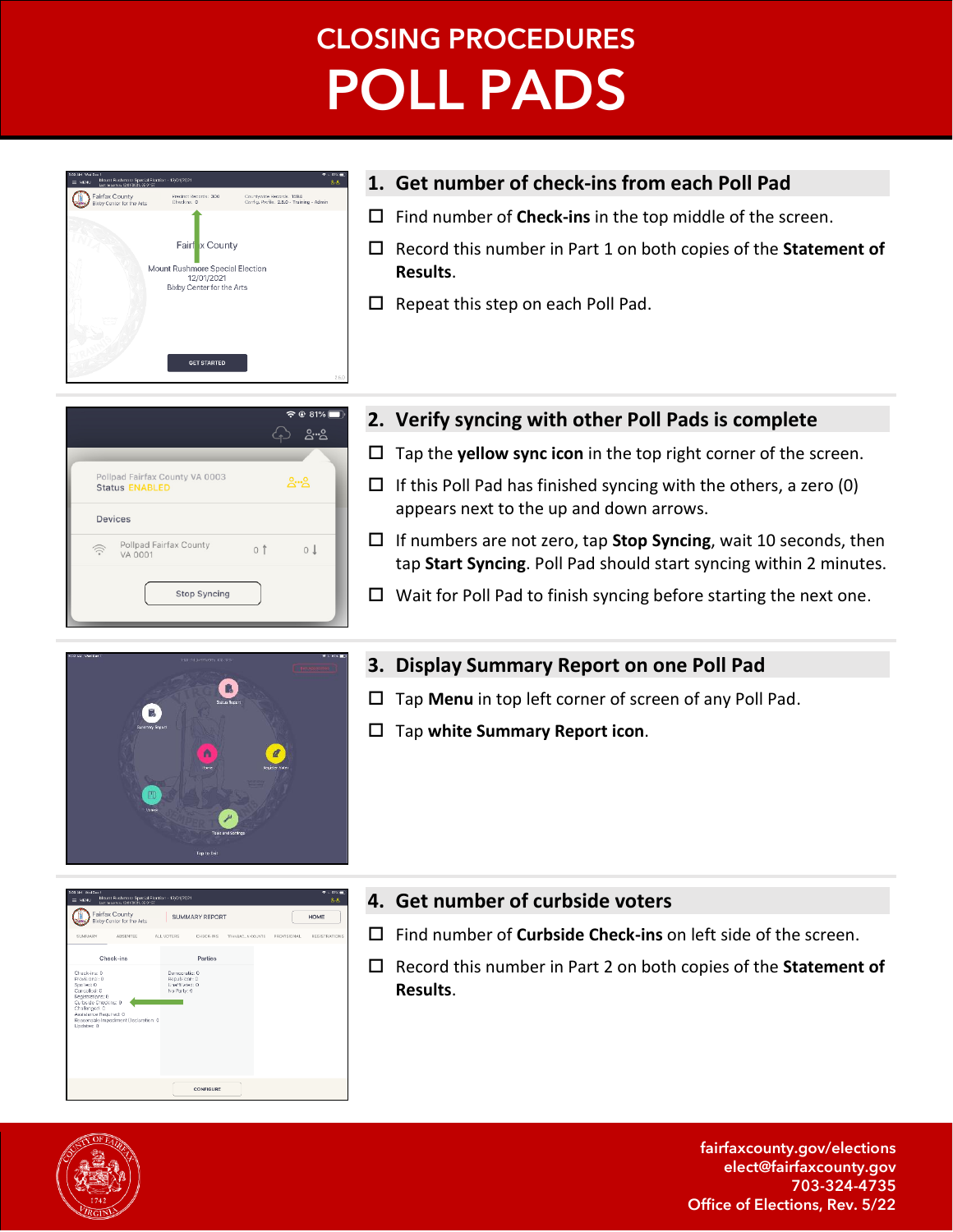# **CLOSING PROCEDURES POLL PADS**



## **1. Get number of check-ins from each Poll Pad**

- Find number of **Check-ins** in the top middle of the screen.
- Record this number in Part 1 on both copies of the **Statement of Results**.
- $\Box$  Repeat this step on each Poll Pad.



### **2. Verify syncing with other Poll Pads is complete**

- $\Box$  Tap the **yellow sync icon** in the top right corner of the screen.
- $\Box$  If this Poll Pad has finished syncing with the others, a zero (0) appears next to the up and down arrows.
- If numbers are not zero, tap **Stop Syncing**, wait 10 seconds, then tap **Start Syncing**. Poll Pad should start syncing within 2 minutes.
- $\Box$  Wait for Poll Pad to finish syncing before starting the next one.



SUMMARY REPORT

**CONFIGURE** 

## **3. Display Summary Report on one Poll Pad**

- Tap **Menu** in top left corner of screen of any Poll Pad.
- Tap **white Summary Report icon**.

## **4. Get number of curbside voters**

- Find number of **Curbside Check-ins** on left side of the screen.
- Record this number in Part 2 on both copies of the **Statement of Results**.



**D** Fairfax County

Check-ins

fairfaxcounty.gov/elections elect@fairfaxcounty.gov 703-324-4735 Office of Elections, Rev. 5/22